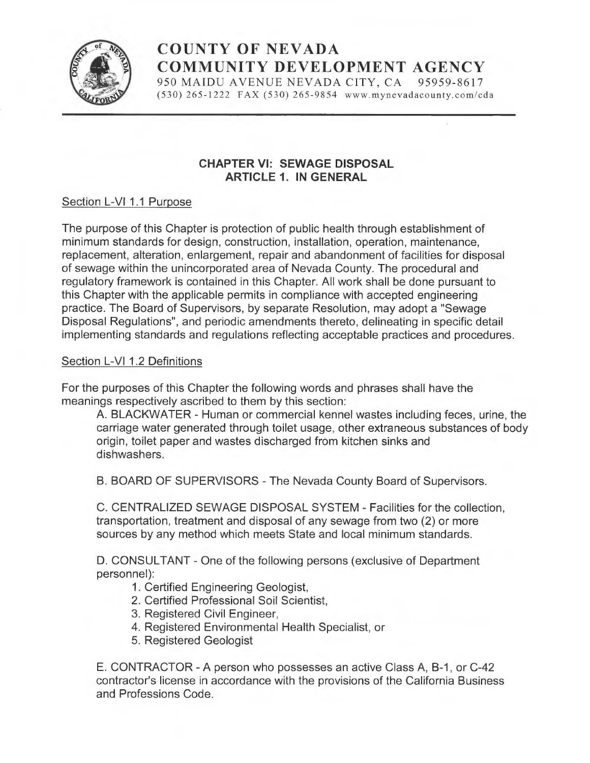

# COUNTY OF NEVADA COMMUNITY DEVELOPMENT AGENCY<br>
950 MAIDU AVENUE NEVADA CITY, CA 95959-8617<br>
(530) 265-1222 FAX (530) 265-9854 www.mynevadacounty.com/cda

950 MAIDU AVENUE NEVADA CITY, CA 95959-8617<br>(530) 265-1222 FAX (530) 265-9854 www.mynevadacounty.com/cda

## CHAPTER VI: SEWAGE DISPOSAL ARTICLE 1. IN GENERAL

## Section L-VI 1.1 Purpose

The purpose of this Chapter is protection of public health through establishment of minimum standards for design, construction, installation, operation, maintenance, replacement, alteration, enlargement, repair and abandonment of facilities for disposal of sewage within the unincorporated area of Nevada County. The procedural and regulatory framework is contained in this Chapter. All work shall be done pursuant to this Chapter with the applicable permits in compliance with accepted engineering practice. The Board of Supervisors, by separate Resolution, may adopt a "Sewage Disposal Regulations", and periodic amendments thereto, delineating in specific detail implementing standards and regulations reflecting acceptable practices and procedures.

## Section L-VI 1.2 Definitions

For the purposes of this Chapter the following words and phrases shall have the meanings respectively ascribed to them by this section:

A. BLACKWATER -Human or commercial kennel wastes including feces, urine, the carriage water generated through toilet usage, other extraneous substances of body origin, toilet paper and wastes discharged from kitchen sinks and dishwashers.

B. BOARD OF SUPERVISORS -The Nevada County Board of Supervisors.

C. CENTRALIZED SEWAGE DISPOSAL SYSTEM - Facilities for the collection, transportation, treatment and disposal of any sewage from two (2) or more sources by any method which meets State and local minimum standards.

D. CONSULTANT - One of the following persons (exclusive of Department personnel):

1. Certified Engineering Geologist,

- 2. Certified Professional Soil Scientist,
- 3. Registered Civil Engineer,
- 4. Registered Environmental Health Specialist, or
- 5. Registered Geologist

E. CONTRACTOR - A person who possesses an active Class A, B-1, or C-42 contractor's license in accordance with the provisions of the California Business and Professions Code.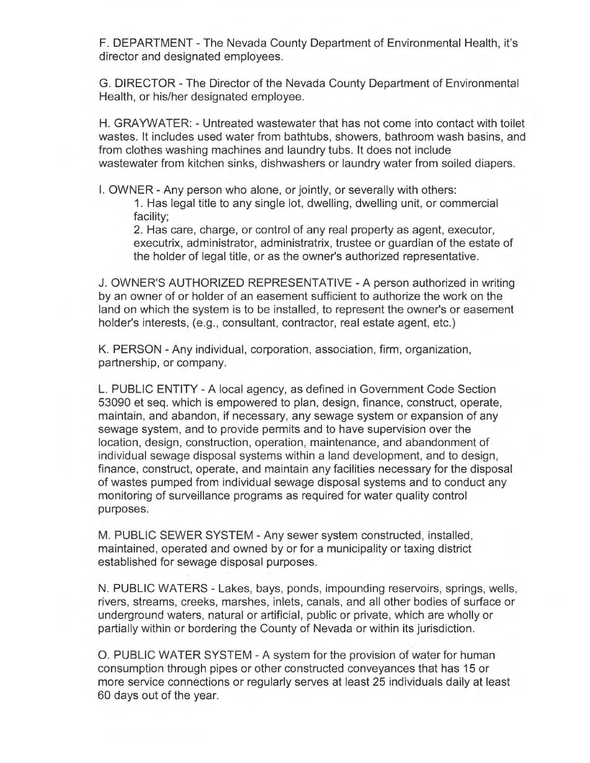F. DEPARTMENT -The Nevada County Department of Environmental Health, it's director and designated employees.

G. DIRECTOR -The Director of the Nevada County Department of Environmental Health, or his/her designated employee.

H. GRAYWATER: - Untreated wastewater that has not come into contact with toilet wastes. It includes used water from bathtubs, showers, bathroom wash basins, and from clothes washing machines and laundry tubs. It does not include wastewater from kitchen sinks, dishwashers or laundry water from soiled diapers.

I. OWNER -Any person who alone, or jointly, or severally with others:

1. Has legal title to any single lot, dwelling, dwelling unit, or commercial facility;

2. Has care, charge, or control of any real property as agent, executor, executrix, administrator, administratrix, trustee or guardian of the estate of the holder of legal title, or as the owner's authorized representative.

J. OWNER'S AUTHORIZED REPRESENTATIVE - A person authorized in writing by an owner of or holder of an easement sufficient to authorize the work on the land on which the system is to be installed, to represent the owner's or easement holder's interests, (e.g., consultant, contractor, real estate agent, etc.)

K. PERSON -Any individual, corporation, association, firm, organization, partnership, or company.

L. PUBLIC ENTITY - A local agency, as defined in Government Code Section 53090 et seq. which is empowered to plan, design, finance, construct, operate, maintain, and abandon, if necessary, any sewage system or expansion of any sewage system, and to provide permits and to have supervision over the location, design, construction, operation, maintenance, and abandonment of individual sewage disposal systems within a land development, and to design, finance, construct, operate, and maintain any facilities necessary for the disposal of wastes pumped from individual sewage disposal systems and to conduct any monitoring of surveillance programs as required for water quality control purposes.

M. PUBLIC SEWER SYSTEM - Any sewer system constructed, installed, maintained, operated and owned by or for a municipality or taxing district established for sewage disposal purposes.

N. PUBLIC WATERS - Lakes, bays, ponds, impounding reservoirs, springs, wells, rivers, streams, creeks, marshes, inlets, canals, and all other bodies of surface or underground waters, natural or artificial, public or private, which are wholly or partially within or bordering the County of Nevada or within its jurisdiction.

O. PUBLIC WATER SYSTEM - A system for the provision of water for human consumption through pipes or other constructed conveyances that has 15 or more service connections or regularly serves at least 25 individuals daily at least 60 days out of the year.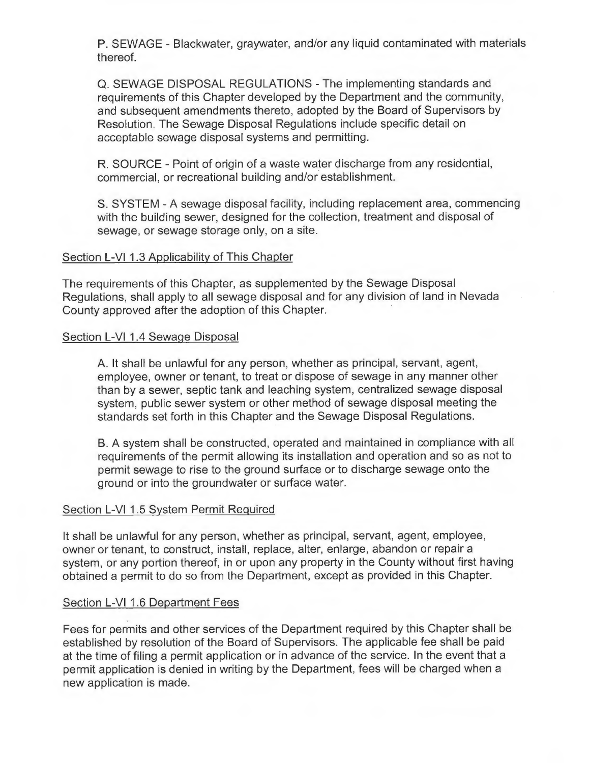P. SEWAGE - Blackwater, graywater, and/or any liquid contaminated with materials thereof.

Q. SEWAGE DISPOSAL REGULATIONS -The implementing standards and requirements of this Chapter developed by the Department and the community, and subsequent amendments thereto, adopted by the Board of Supervisors by Resolution. The Sewage Disposal Regulations include specific detail on acceptable sewage disposal systems and permitting.

R. SOURCE -Point of origin of a waste water discharge from any residential, commercial, or recreational building and/or establishment.

S. SYSTEM - A sewage disposal facility, including replacement area, commencing with the building sewer, designed for the collection, treatment and disposal of sewage, or sewage storage only, on a site.

### Section L-VI 1.3 Applicability of This Chapter

The requirements of this Chapter, as supplemented by the Sewage Disposal Regulations, shall apply to all sewage disposal and for any division of land in Nevada County approved after the adoption of this Chapter.

#### Section L-VI 1.4 Sewage Disposal

A. It shall be unlawful for any person, whether as principal, servant, agent, employee, owner or tenant, to treat or dispose of sewage in any manner other than by a sewer, septic tank and leaching system, centralized sewage disposal system, public sewer system or other method of sewage disposal meeting the standards set forth in this Chapter and the Sewage Disposal Regulations.

B. A system shall be constructed, operated and maintained in compliance with all requirements of the permit allowing its installation and operation and so as not to permit sewage to rise to the ground surface or to discharge sewage onto the ground or into the groundwater or surface water.

#### Section L-VI 1.5 System Permit Required

It shall be unlawful for any person, whether as principal, servant, agent, employee, owner or tenant, to construct, install, replace, alter, enlarge, abandon or repair <sup>a</sup> system, or any portion thereof, in or upon any property in the County without first having obtained a permit to do so from the Department, except as provided in this Chapter.

#### Section L-VI 1.6 Department Fees

Fees for permits and other services of the Department required by this Chapter shall be established by resolution of the Board of Supervisors. The applicable fee shall be paid at the time of filing a permit application or in advance of the service. In the event that <sup>a</sup> permit application is denied in writing by the Department, fees will be charged when <sup>a</sup> new application is made.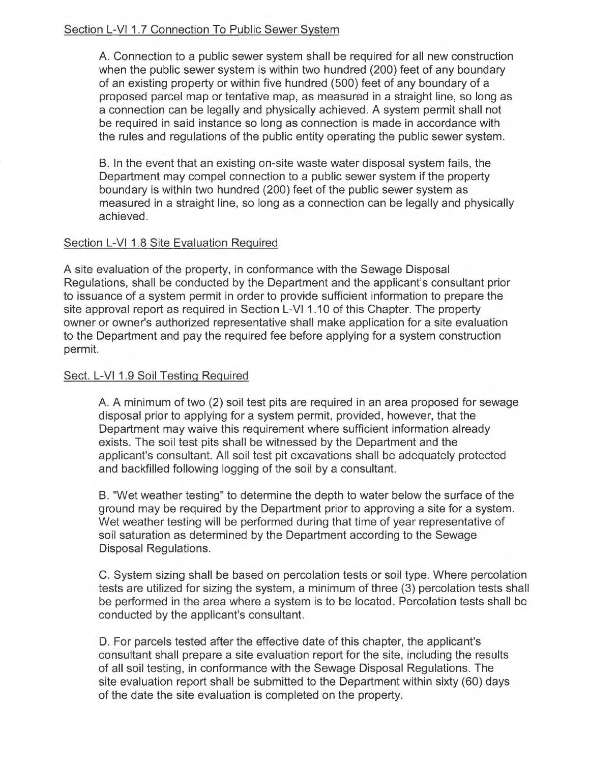# Section L-VI 1.7 Connection To Public Sewer System

A. Connection to a public sewer system shall be required for all new construction when the public sewer system is within two hundred (200) feet of any boundary of an existing property or within five hundred (500) feet of any boundary of a proposed parcel map or tentative map, as measured in a straight line, so long as a connection can be legally and physically achieved. A system permit shall not be required in said instance so long as connection is made in accordance with the rules and regulations of the public entity operating the public sewer system.

B. In the event that an existing on-site waste water disposal system fails, the Department may compel connection to a public sewer system if the property boundary is within two hundred (200) feet of the public sewer system as measured in a straight line, so long as a connection can be legally and physically achieved.

## Section L-VI 1.8 Site Evaluation Required

A site evaluation of the property, in conformance with the Sewage Disposal Regulations, shall be conducted by the Department and the applicant's consultant prior to issuance of a system permit in order to provide sufficient information to prepare the site approval report as required in Section L-VI 1.10 of this Chapter. The property owner or owner's authorized representative shall make application for a site evaluation to the Department and pay the required fee before applying for a system construction permit.

## Sect. L-VI 1.9 Soil Testing Required

A. A minimum of two (2) soil test pits are required in an area proposed for sewage disposal prior to applying for a system permit, provided, however, that the Department may waive this requirement where sufficient information already exists. The soil test pits shall be witnessed by the Department and the applicant's consultant. All soil test pit excavations shall be adequately protected and backfilled following logging of the soil by a consultant.

B. "Wet weather testing" to determine the depth to water below the surface of the ground may be required by the Department prior to approving a site for a system. Wet weather testing will be performed during that time of year representative of soil saturation as determined by the Department according to the Sewage Disposal Regulations.

C. System sizing shall be based on percolation tests or soil type. Where percolation tests are utilized for sizing the system, a minimum of three (3) percolation tests shall be performed in the area where a system is to be located. Percolation tests shall be conducted by the applicant's consultant.

D. For parcels tested after the effective date of this chapter, the applicant's consultant shall prepare a site evaluation report for the site, including the results of all soil testing, in conformance with the Sewage Disposal Regulations. The site evaluation report shall be submitted to the Department within sixty (60) days of the date the site evaluation is completed on the property.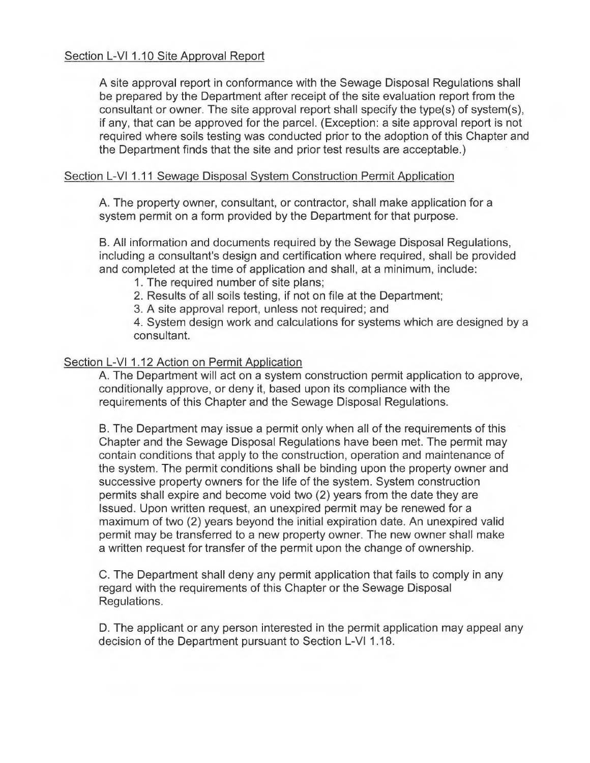A site approval report in conformance with the Sewage Disposal Regulations shall be prepared by the Department after receipt of the site evaluation report from the consultant or owner. The site approval report shall specify the type(s) of system(s), if any, that can be approved for the parcel. (Exception: a site approval report is not required where soils testing was conducted prior to the adoption of this Chapter and the Department finds that the site and prior test results are acceptable.)

#### Section L-VI 1.11 Sewage Disposal System Construction Permit Application

A. The property owner, consultant, or contractor, shall make application for a system permit on a form provided by the Department for that purpose.

B. All information and documents required by the Sewage Disposal Regulations, including a consultant's design and certification where required, shall be provided and completed at the time of application and shall, at a minimum, include:

- 1. The required number of site plans;
- 2. Results of all soils testing, if not on file at the Department;
- 3. A site approval report, unless not required; and

4. System design work and calculations for systems which are designed by a consultant.

## Section L-VI 1.12 Action on Permit Application

A. The Department will act on a system construction permit application to approve, conditionally approve, or deny it, based upon its compliance with the requirements of this Chapter and the Sewage Disposal Regulations.

B. The Department may issue a permit only when all of the requirements of this Chapter and the Sewage Disposal Regulations have been met. The permit may contain conditions that apply to the construction, operation and maintenance of the system. The permit conditions shall be binding upon the property owner and successive property owners for the life of the system. System construction permits shall expire and become void two (2) years from the date they are Issued. Upon written request, an unexpired permit may be renewed for a maximum of two (2) years beyond the initial expiration date. An unexpired valid permit may be transferred to a new property owner. The new owner shall make a written request for transfer of the permit upon the change of ownership.

C. The Department shall deny any permit application that fails to comply in any regard with the requirements of this Chapter or the Sewage Disposal Regulations.

D. The applicant or any person interested in the permit application may appeal any decision of the Department pursuant to Section L-VI 1.18.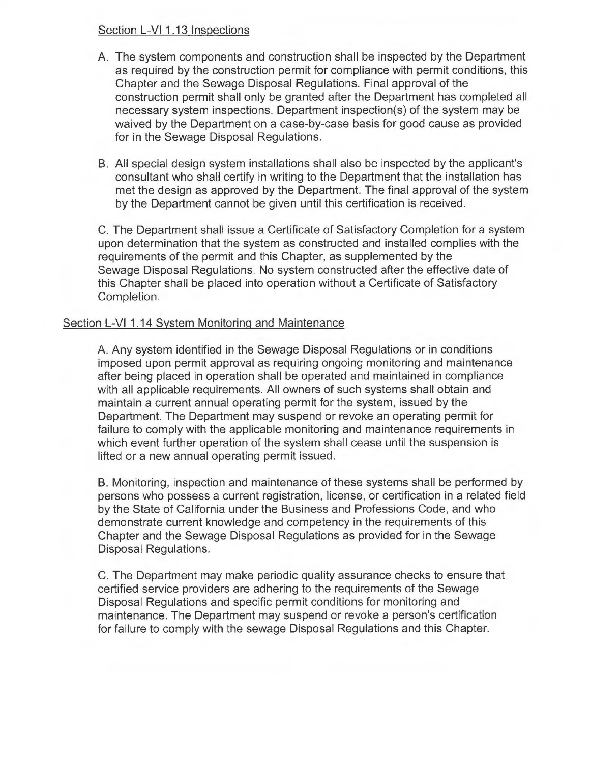### Section L-VI 1.13 Inspections

- A. The system components and construction shall be inspected by the Department as required by the construction permit for compliance with permit conditions, this Chapter and the Sewage Disposal Regulations. Final approval of the construction permit shall only be granted after the Department has completed all necessary system inspections. Department inspection(s) of the system may be waived by the Department on a case-by-case basis for good cause as provided for in the Sewage Disposal Regulations.
- B. All special design system installations shall also be inspected by the applicant's consultant who shall certify in writing to the Department that the installation has met the design as approved by the Department. The final approval of the system by the Department cannot be given until this certification is received.

C. The Department shall issue a Certificate of Satisfactory Completion for a system upon determination that the system as constructed and installed complies with the requirements of the permit and this Chapter, as supplemented by the Sewage Disposal Regulations. No system constructed after the effective date of this Chapter shall be placed into operation without a Certificate of Satisfactory Completion.

## Section L-VI 1.14 System Monitoring and Maintenance

A. Any system identified in the Sewage Disposal Regulations or in conditions imposed upon permit approval as requiring ongoing monitoring and maintenance after being placed in operation shall be operated and maintained in compliance with all applicable requirements. All owners of such systems shall obtain and maintain a current annual operating permit for the system, issued by the Department. The Department may suspend or revoke an operating permit for failure to comply with the applicable monitoring and maintenance requirements in which event further operation of the system shall cease until the suspension is lifted or a new annual operating permit issued.

B. Monitoring, inspection and maintenance of these systems shall be performed by persons who possess a current registration, license, or certification in a related field by the State of California under the Business and Professions Code, and who demonstrate current knowledge and competency in the requirements of this Chapter and the Sewage Disposal Regulations as provided for in the Sewage Disposal Regulations.

C. The Department may make periodic quality assurance checks to ensure that certified service providers are adhering to the requirements of the Sewage Disposal Regulations and specific permit conditions for monitoring and maintenance. The Department may suspend or revoke a person's certification for failure to comply with the sewage Disposal Regulations and this Chapter.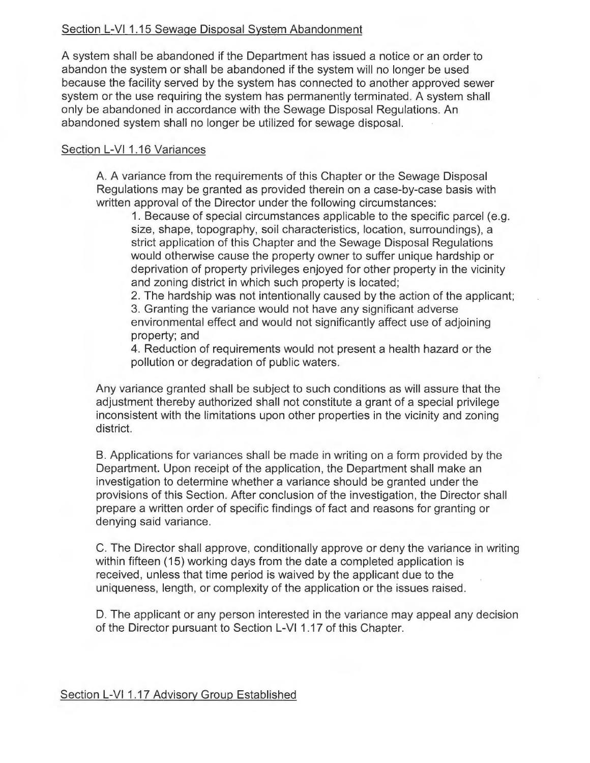## Section L-VI 1.15 Sewage Disposal System Abandonment

A system shall be abandoned if the Department has issued a notice or an order to abandon the system or shall be abandoned if the system will no longer be used because the facility served by the system has connected to another approved sewer system or the use requiring the system has permanently terminated. A system shall only be abandoned in accordance with the Sewage Disposal Regulations. An abandoned system shall no longer be utilized for sewage disposal.

# Section L-VI 1.16 Variances

A. A variance from the requirements of this Chapter or the Sewage Disposal Regulations may be granted as provided therein on a case-by-case basis with written approval of the Director under the following circumstances:

1. Because of special circumstances applicable to the specific parcel (e.g. size, shape, topography, soil characteristics, location, surroundings), a strict application of this Chapter and the Sewage Disposal Regulations would otherwise cause the property owner to suffer unique hardship or deprivation of property privileges enjoyed for other property in the vicinity and zoning district in which such property is located;

2. The hardship was not intentionally caused by the action of the applicant;

3. Granting the variance would not have any significant adverse environmental effect and would not significantly affect use of adjoining property; and

4. Reduction of requirements would not present a health hazard or the pollution or degradation of public waters.

Any variance granted shall be subject to such conditions as will assure that the adjustment thereby authorized shall not constitute a grant of a special privilege inconsistent with the limitations upon other properties in the vicinity and zoning district.

B. Applications for variances shall be made in writing on a form provided by the Department. Upon receipt of the application, the Department shall make an investigation to determine whether a variance should be granted under the provisions of this Section. After conclusion of the investigation, the Director shall prepare a written order of specific findings of fact and reasons for granting or denying said variance.

C. The Director shall approve, conditionally approve or deny the variance in writing within fifteen (15) working days from the date a completed application is received, unless that time period is waived by the applicant due to the uniqueness, length, or complexity of the application or the issues raised.

D. The applicant or any person interested in the variance may appeal any decision of the Director pursuant to Section L-VI 1.17 of this Chapter.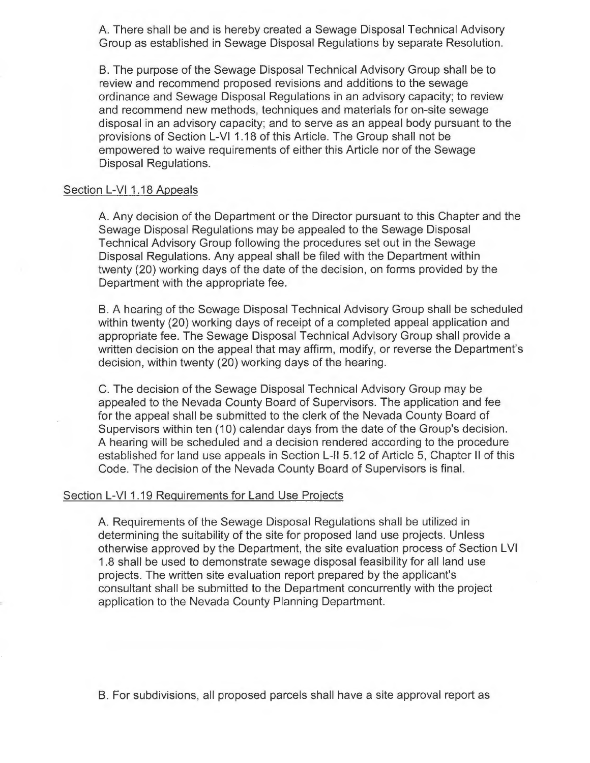A. There shall be and is hereby created a Sewage Disposal Technical Advisory Group as established in Sewage Disposal Regulations by separate Resolution.

B. The purpose of the Sewage Disposal Technical Advisory Group shall be to review and recommend proposed revisions and additions to the sewage ordinance and Sewage Disposal Regulations in an advisory capacity; to review and recommend new methods, techniques and materials for on-site sewage disposal in an advisory capacity; and to serve as an appeal body pursuant to the provisions of Section L-VI 1.18 of this Article. The Group shall not be empowered to waive requirements of either this Article nor of the Sewage Disposal Regulations.

#### Section L-VI 1.18 Appeals

A. Any decision of the Department or the Director pursuant to this Chapter and the Sewage Disposal Regulations may be appealed to the Sewage Disposal Technical Advisory Group following the procedures set out in the Sewage Disposal Regulations. Any appeal shall be filed with the Department within twenty (20) working days of the date of the decision, on forms provided by the Department with the appropriate fee.

B. A hearing of the Sewage Disposal Technical Advisory Group shall be scheduled within twenty (20) working days of receipt of a completed appeal application and appropriate fee. The Sewage Disposal Technical Advisory Group shall provide a written decision on the appeal that may affirm, modify, or reverse the Department's decision, within twenty (20) working days of the hearing.

C. The decision of the Sewage Disposal Technical Advisory Group may be appealed to the Nevada County Board of Supervisors. The application and fee for the appeal shall be submitted to the clerk of the Nevada County Board of Supervisors within ten (10) calendar days from the date of the Group's decision. A hearing will be scheduled and a decision rendered according to the procedure established for land use appeals in Section L-II 5.12 of Article 5, Chapter II of this Code. The decision of the Nevada County Board of Supervisors is final.

#### Section L-VI 1.19 Requirements for Land Use Projects

A. Requirements of the Sewage Disposal Regulations shall be utilized in determining the suitability of the site for proposed land use projects. Unless otherwise approved by the Department, the site evaluation process of Section LVI 1.8 shall be used to demonstrate sewage disposal feasibility for all land use projects. The written site evaluation report prepared by the applicant's consultant shall be submitted to the Department concurrently with the project application to the Nevada County Planning Department.

B. For subdivisions, all proposed parcels shall have a site approval report as